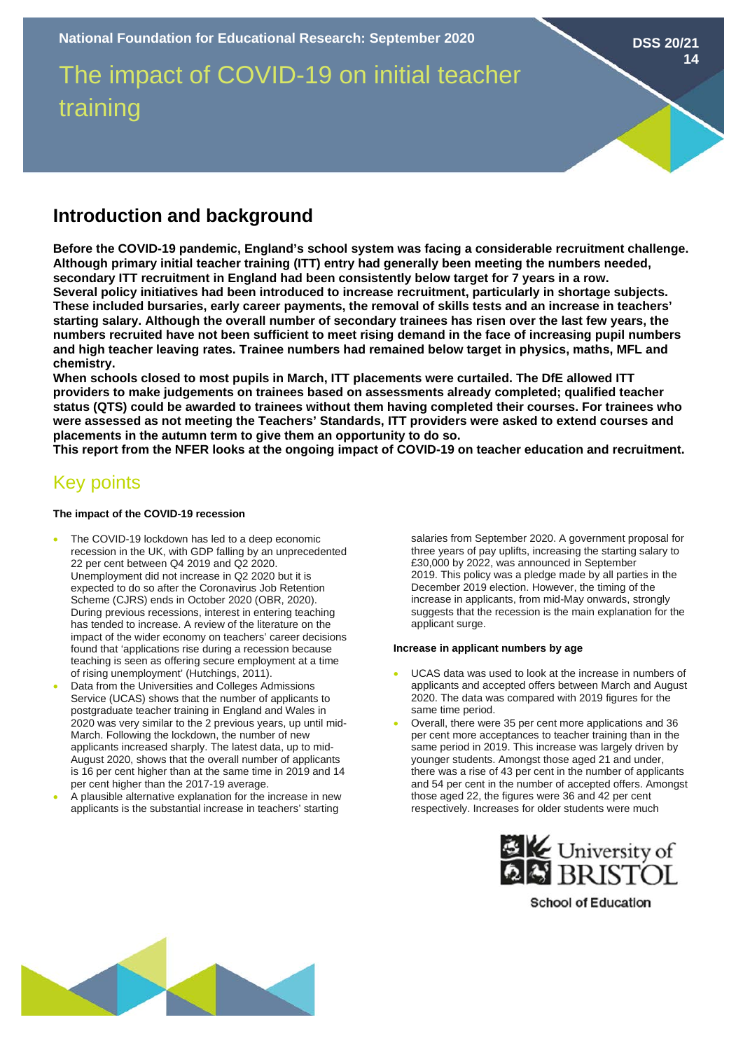The impact of COVID-19 on initial teacher training

## **Introduction and background**

**Before the COVID-19 pandemic, England's school system was facing a considerable recruitment challenge. Although primary initial teacher training (ITT) entry had generally been meeting the numbers needed, secondary ITT recruitment in England had been consistently below target for 7 years in a row. Several policy initiatives had been introduced to increase recruitment, particularly in shortage subjects. These included bursaries, early career payments, the removal of skills tests and an increase in teachers' starting salary. Although the overall number of secondary trainees has risen over the last few years, the numbers recruited have not been sufficient to meet rising demand in the face of increasing pupil numbers and high teacher leaving rates. Trainee numbers had remained below target in physics, maths, MFL and chemistry.** 

**When schools closed to most pupils in March, ITT placements were curtailed. The DfE allowed ITT providers to make judgements on trainees based on assessments already completed; qualified teacher status (QTS) could be awarded to trainees without them having completed their courses. For trainees who were assessed as not meeting the Teachers' Standards, ITT providers were asked to extend courses and placements in the autumn term to give them an opportunity to do so.**

**This report from the NFER looks at the ongoing impact of COVID-19 on teacher education and recruitment.**

# Key points

#### **The impact of the COVID-19 recession**

- The COVID-19 lockdown has led to a deep economic recession in the UK, with GDP falling by an unprecedented 22 per cent between Q4 2019 and Q2 2020. Unemployment did not increase in Q2 2020 but it is expected to do so after the Coronavirus Job Retention Scheme (CJRS) ends in October 2020 (OBR, 2020). During previous recessions, interest in entering teaching has tended to increase. A review of the literature on the impact of the wider economy on teachers' career decisions found that 'applications rise during a recession because teaching is seen as offering secure employment at a time of rising unemployment' (Hutchings, 2011).
- Data from the Universities and Colleges Admissions Service (UCAS) shows that the number of applicants to postgraduate teacher training in England and Wales in 2020 was very similar to the 2 previous years, up until mid-March. Following the lockdown, the number of new applicants increased sharply. The latest data, up to mid-August 2020, shows that the overall number of applicants is 16 per cent higher than at the same time in 2019 and 14 per cent higher than the 2017-19 average.
- A plausible alternative explanation for the increase in new applicants is the substantial increase in teachers' starting

salaries from September 2020. A government proposal for three years of pay uplifts, increasing the starting salary to £30,000 by 2022, was announced in September 2019. This policy was a pledge made by all parties in the December 2019 election. However, the timing of the increase in applicants, from mid-May onwards, strongly suggests that the recession is the main explanation for the applicant surge.

**DSS 20/21**

**14**

#### **Increase in applicant numbers by age**

- UCAS data was used to look at the increase in numbers of applicants and accepted offers between March and August 2020. The data was compared with 2019 figures for the same time period.
- Overall, there were 35 per cent more applications and 36 per cent more acceptances to teacher training than in the same period in 2019. This increase was largely driven by younger students. Amongst those aged 21 and under, there was a rise of 43 per cent in the number of applicants and 54 per cent in the number of accepted offers. Amongst those aged 22, the figures were 36 and 42 per cent respectively. Increases for older students were much



**School of Education**